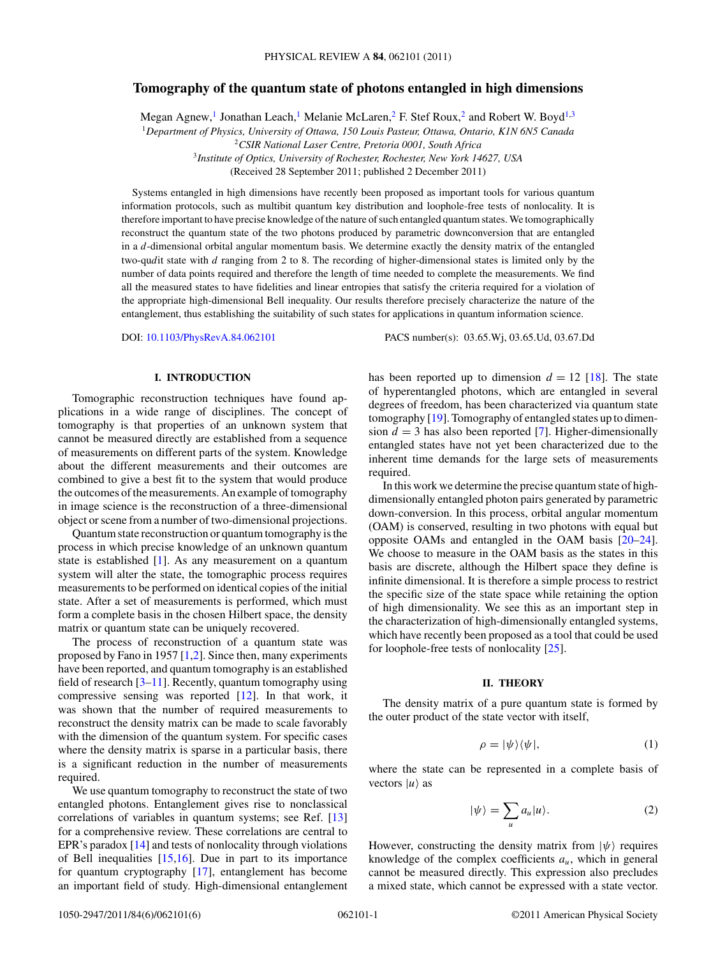# **Tomography of the quantum state of photons entangled in high dimensions**

Megan Agnew,<sup>1</sup> Jonathan Leach,<sup>1</sup> Melanie McLaren,<sup>2</sup> F. Stef Roux,<sup>2</sup> and Robert W. Boyd<sup>1,3</sup>

<sup>1</sup>*Department of Physics, University of Ottawa, 150 Louis Pasteur, Ottawa, Ontario, K1N 6N5 Canada*

<sup>2</sup>*CSIR National Laser Centre, Pretoria 0001, South Africa*

<sup>3</sup>*Institute of Optics, University of Rochester, Rochester, New York 14627, USA*

(Received 28 September 2011; published 2 December 2011)

Systems entangled in high dimensions have recently been proposed as important tools for various quantum information protocols, such as multibit quantum key distribution and loophole-free tests of nonlocality. It is therefore important to have precise knowledge of the nature of such entangled quantum states. We tomographically reconstruct the quantum state of the two photons produced by parametric downconversion that are entangled in a *d*-dimensional orbital angular momentum basis. We determine exactly the density matrix of the entangled two-qu*d*it state with *d* ranging from 2 to 8. The recording of higher-dimensional states is limited only by the number of data points required and therefore the length of time needed to complete the measurements. We find all the measured states to have fidelities and linear entropies that satisfy the criteria required for a violation of the appropriate high-dimensional Bell inequality. Our results therefore precisely characterize the nature of the entanglement, thus establishing the suitability of such states for applications in quantum information science.

DOI: [10.1103/PhysRevA.84.062101](http://dx.doi.org/10.1103/PhysRevA.84.062101) PACS number(s): 03*.*65*.*Wj, 03*.*65*.*Ud, 03*.*67*.*Dd

# **I. INTRODUCTION**

Tomographic reconstruction techniques have found applications in a wide range of disciplines. The concept of tomography is that properties of an unknown system that cannot be measured directly are established from a sequence of measurements on different parts of the system. Knowledge about the different measurements and their outcomes are combined to give a best fit to the system that would produce the outcomes of the measurements. An example of tomography in image science is the reconstruction of a three-dimensional object or scene from a number of two-dimensional projections.

Quantum state reconstruction or quantum tomography is the process in which precise knowledge of an unknown quantum state is established [\[1\]](#page-4-0). As any measurement on a quantum system will alter the state, the tomographic process requires measurements to be performed on identical copies of the initial state. After a set of measurements is performed, which must form a complete basis in the chosen Hilbert space, the density matrix or quantum state can be uniquely recovered.

The process of reconstruction of a quantum state was proposed by Fano in 1957 [\[1,2\]](#page-4-0). Since then, many experiments have been reported, and quantum tomography is an established field of research [\[3–11\]](#page-4-0). Recently, quantum tomography using compressive sensing was reported [\[12\]](#page-4-0). In that work, it was shown that the number of required measurements to reconstruct the density matrix can be made to scale favorably with the dimension of the quantum system. For specific cases where the density matrix is sparse in a particular basis, there is a significant reduction in the number of measurements required.

We use quantum tomography to reconstruct the state of two entangled photons. Entanglement gives rise to nonclassical correlations of variables in quantum systems; see Ref. [\[13\]](#page-4-0) for a comprehensive review. These correlations are central to EPR's paradox [\[14\]](#page-4-0) and tests of nonlocality through violations of Bell inequalities  $[15,16]$ . Due in part to its importance for quantum cryptography [\[17\]](#page-4-0), entanglement has become an important field of study. High-dimensional entanglement has been reported up to dimension  $d = 12$  [\[18\]](#page-4-0). The state of hyperentangled photons, which are entangled in several degrees of freedom, has been characterized via quantum state tomography [\[19\]](#page-4-0). Tomography of entangled states up to dimension  $d = 3$  has also been reported [\[7\]](#page-4-0). Higher-dimensionally entangled states have not yet been characterized due to the inherent time demands for the large sets of measurements required.

In this work we determine the precise quantum state of highdimensionally entangled photon pairs generated by parametric down-conversion. In this process, orbital angular momentum (OAM) is conserved, resulting in two photons with equal but opposite OAMs and entangled in the OAM basis [\[20–24\]](#page-5-0). We choose to measure in the OAM basis as the states in this basis are discrete, although the Hilbert space they define is infinite dimensional. It is therefore a simple process to restrict the specific size of the state space while retaining the option of high dimensionality. We see this as an important step in the characterization of high-dimensionally entangled systems, which have recently been proposed as a tool that could be used for loophole-free tests of nonlocality [\[25\]](#page-5-0).

### **II. THEORY**

The density matrix of a pure quantum state is formed by the outer product of the state vector with itself,

$$
\rho = |\psi\rangle\langle\psi|,\tag{1}
$$

where the state can be represented in a complete basis of vectors  $|u\rangle$  as

$$
|\psi\rangle = \sum_{u} a_u |u\rangle. \tag{2}
$$

However, constructing the density matrix from  $|\psi\rangle$  requires knowledge of the complex coefficients  $a<sub>u</sub>$ , which in general cannot be measured directly. This expression also precludes a mixed state, which cannot be expressed with a state vector.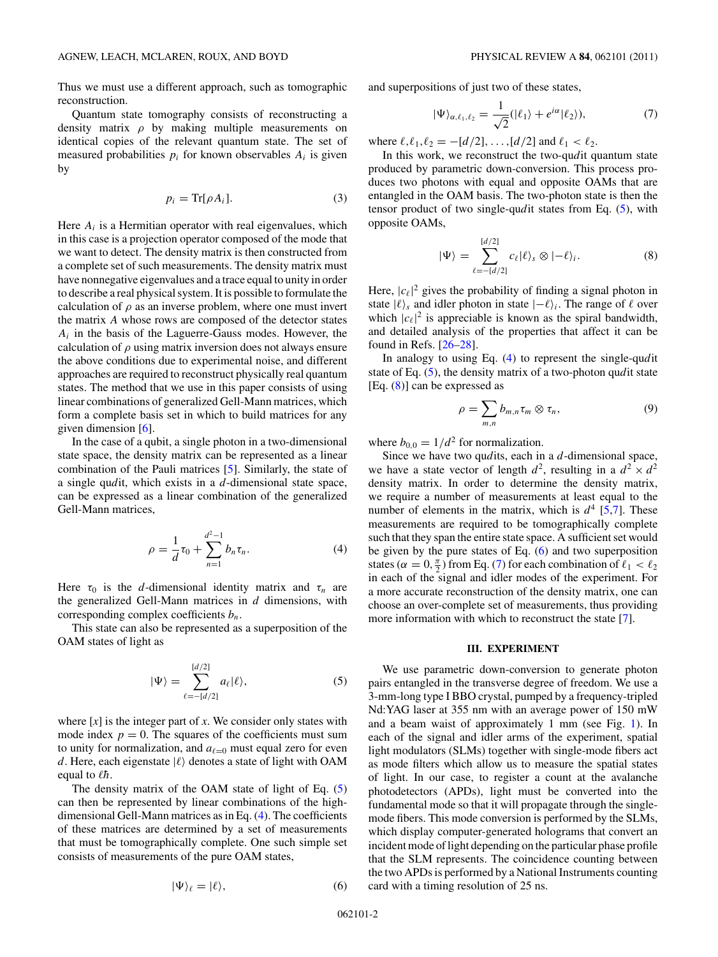<span id="page-1-0"></span>Thus we must use a different approach, such as tomographic reconstruction.

Quantum state tomography consists of reconstructing a density matrix *ρ* by making multiple measurements on identical copies of the relevant quantum state. The set of measured probabilities  $p_i$  for known observables  $A_i$  is given by

$$
p_i = \text{Tr}[\rho A_i]. \tag{3}
$$

Here *Ai* is a Hermitian operator with real eigenvalues, which in this case is a projection operator composed of the mode that we want to detect. The density matrix is then constructed from a complete set of such measurements. The density matrix must have nonnegative eigenvalues and a trace equal to unity in order to describe a real physical system. It is possible to formulate the calculation of  $\rho$  as an inverse problem, where one must invert the matrix *A* whose rows are composed of the detector states *Ai* in the basis of the Laguerre-Gauss modes. However, the calculation of *ρ* using matrix inversion does not always ensure the above conditions due to experimental noise, and different approaches are required to reconstruct physically real quantum states. The method that we use in this paper consists of using linear combinations of generalized Gell-Mann matrices, which form a complete basis set in which to build matrices for any given dimension [\[6\]](#page-4-0).

In the case of a qubit, a single photon in a two-dimensional state space, the density matrix can be represented as a linear combination of the Pauli matrices [\[5\]](#page-4-0). Similarly, the state of a single qu*d*it, which exists in a *d*-dimensional state space, can be expressed as a linear combination of the generalized Gell-Mann matrices,

$$
\rho = \frac{1}{d}\tau_0 + \sum_{n=1}^{d^2 - 1} b_n \tau_n.
$$
\n(4)

Here  $\tau_0$  is the *d*-dimensional identity matrix and  $\tau_n$  are the generalized Gell-Mann matrices in *d* dimensions, with corresponding complex coefficients *bn*.

This state can also be represented as a superposition of the OAM states of light as

$$
|\Psi\rangle = \sum_{\ell=-[d/2]}^{[d/2]} a_{\ell} |\ell\rangle, \tag{5}
$$

where  $[x]$  is the integer part of *x*. We consider only states with mode index  $p = 0$ . The squares of the coefficients must sum to unity for normalization, and  $a_{\ell=0}$  must equal zero for even *d*. Here, each eigenstate  $|l\rangle$  denotes a state of light with OAM equal to  $\ell \hbar$ .

The density matrix of the OAM state of light of Eq. (5) can then be represented by linear combinations of the highdimensional Gell-Mann matrices as in Eq. (4). The coefficients of these matrices are determined by a set of measurements that must be tomographically complete. One such simple set consists of measurements of the pure OAM states,

$$
|\Psi\rangle_{\ell} = |\ell\rangle,\tag{6}
$$

and superpositions of just two of these states,

$$
|\Psi\rangle_{\alpha,\ell_1,\ell_2} = \frac{1}{\sqrt{2}} (|\ell_1\rangle + e^{i\alpha} |\ell_2\rangle), \tag{7}
$$

where  $\ell, \ell_1, \ell_2 = -[d/2], \ldots, [d/2]$  and  $\ell_1 < \ell_2$ .

In this work, we reconstruct the two-qu*d*it quantum state produced by parametric down-conversion. This process produces two photons with equal and opposite OAMs that are entangled in the OAM basis. The two-photon state is then the tensor product of two single-qu*d*it states from Eq. (5), with opposite OAMs,

$$
|\Psi\rangle = \sum_{\ell=-[d/2]}^{[d/2]} c_{\ell} |\ell\rangle_s \otimes |-\ell\rangle_i.
$$
 (8)

Here,  $|c_{\ell}|^2$  gives the probability of finding a signal photon in state  $|\ell\rangle_s$  and idler photon in state  $|-\ell\rangle_i$ . The range of  $\ell$  over which  $|c_{\ell}|^2$  is appreciable is known as the spiral bandwidth, and detailed analysis of the properties that affect it can be found in Refs. [\[26–28\]](#page-5-0).

In analogy to using Eq. (4) to represent the single-qu*d*it state of Eq. (5), the density matrix of a two-photon qu*d*it state [Eq. (8)] can be expressed as

$$
\rho = \sum_{m,n} b_{m,n} \tau_m \otimes \tau_n, \qquad (9)
$$

where  $b_{0,0} = 1/d^2$  for normalization.

Since we have two qu*d*its, each in a *d*-dimensional space, we have a state vector of length  $d^2$ , resulting in a  $d^2 \times d^2$ density matrix. In order to determine the density matrix, we require a number of measurements at least equal to the number of elements in the matrix, which is  $d^4$  [\[5,7\]](#page-4-0). These measurements are required to be tomographically complete such that they span the entire state space. A sufficient set would be given by the pure states of Eq. (6) and two superposition states ( $\alpha = 0, \frac{\pi}{2}$ ) from Eq. (7) for each combination of  $\ell_1 < \ell_2$ in each of the signal and idler modes of the experiment. For a more accurate reconstruction of the density matrix, one can choose an over-complete set of measurements, thus providing more information with which to reconstruct the state [\[7\]](#page-4-0).

#### **III. EXPERIMENT**

We use parametric down-conversion to generate photon pairs entangled in the transverse degree of freedom. We use a 3-mm-long type I BBO crystal, pumped by a frequency-tripled Nd:YAG laser at 355 nm with an average power of 150 mW and a beam waist of approximately 1 mm (see Fig. [1\)](#page-2-0). In each of the signal and idler arms of the experiment, spatial light modulators (SLMs) together with single-mode fibers act as mode filters which allow us to measure the spatial states of light. In our case, to register a count at the avalanche photodetectors (APDs), light must be converted into the fundamental mode so that it will propagate through the singlemode fibers. This mode conversion is performed by the SLMs, which display computer-generated holograms that convert an incident mode of light depending on the particular phase profile that the SLM represents. The coincidence counting between the two APDs is performed by a National Instruments counting card with a timing resolution of 25 ns.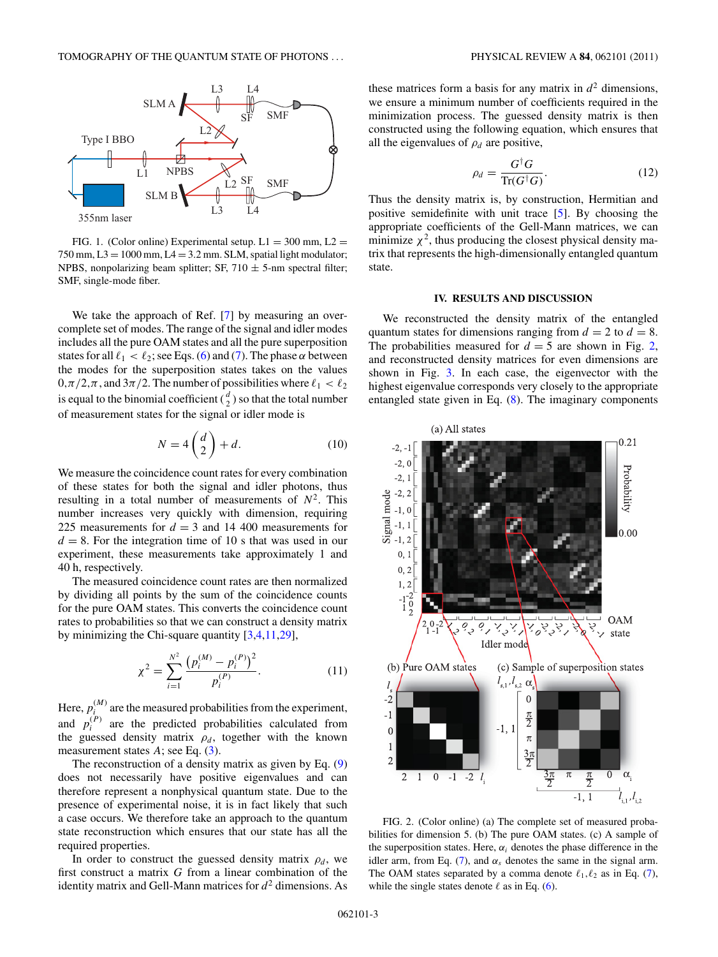<span id="page-2-0"></span>

FIG. 1. (Color online) Experimental setup.  $L1 = 300$  mm,  $L2 =$  $750$  mm,  $L3 = 1000$  mm,  $L4 = 3.2$  mm. SLM, spatial light modulator; NPBS, nonpolarizing beam splitter; SF,  $710 \pm 5$ -nm spectral filter; SMF, single-mode fiber.

We take the approach of Ref. [\[7\]](#page-4-0) by measuring an overcomplete set of modes. The range of the signal and idler modes includes all the pure OAM states and all the pure superposition states for all  $\ell_1 < \ell_2$ ; see Eqs. [\(6\)](#page-1-0) and [\(7\)](#page-1-0). The phase  $\alpha$  between the modes for the superposition states takes on the values  $0, \pi/2, \pi$ , and  $3\pi/2$ . The number of possibilities where  $\ell_1 < \ell_2$ is equal to the binomial coefficient  $\binom{d}{2}$  so that the total number of measurement states for the signal or idler mode is

$$
N = 4\binom{d}{2} + d.\tag{10}
$$

We measure the coincidence count rates for every combination of these states for both the signal and idler photons, thus resulting in a total number of measurements of  $N^2$ . This number increases very quickly with dimension, requiring 225 measurements for  $d = 3$  and 14 400 measurements for  $d = 8$ . For the integration time of 10 s that was used in our experiment, these measurements take approximately 1 and 40 h, respectively.

The measured coincidence count rates are then normalized by dividing all points by the sum of the coincidence counts for the pure OAM states. This converts the coincidence count rates to probabilities so that we can construct a density matrix by minimizing the Chi-square quantity [\[3,4,11](#page-4-0)[,29\]](#page-5-0),

$$
\chi^2 = \sum_{i=1}^{N^2} \frac{\left(p_i^{(M)} - p_i^{(P)}\right)^2}{p_i^{(P)}}.
$$
 (11)

Here,  $p_i^{(M)}$  are the measured probabilities from the experiment, and  $p_i^{(P)}$  are the predicted probabilities calculated from the guessed density matrix  $\rho_d$ , together with the known measurement states *A*; see Eq. [\(3\)](#page-1-0).

The reconstruction of a density matrix as given by Eq. [\(9\)](#page-1-0) does not necessarily have positive eigenvalues and can therefore represent a nonphysical quantum state. Due to the presence of experimental noise, it is in fact likely that such a case occurs. We therefore take an approach to the quantum state reconstruction which ensures that our state has all the required properties.

In order to construct the guessed density matrix  $\rho_d$ , we first construct a matrix *G* from a linear combination of the identity matrix and Gell-Mann matrices for  $d^2$  dimensions. As these matrices form a basis for any matrix in  $d^2$  dimensions, we ensure a minimum number of coefficients required in the minimization process. The guessed density matrix is then constructed using the following equation, which ensures that all the eigenvalues of  $\rho_d$  are positive,

$$
\rho_d = \frac{G^\dagger G}{\text{Tr}(G^\dagger G)}.\tag{12}
$$

Thus the density matrix is, by construction, Hermitian and positive semidefinite with unit trace [\[5\]](#page-4-0). By choosing the appropriate coefficients of the Gell-Mann matrices, we can minimize  $\chi^2$ , thus producing the closest physical density matrix that represents the high-dimensionally entangled quantum state.

### **IV. RESULTS AND DISCUSSION**

We reconstructed the density matrix of the entangled quantum states for dimensions ranging from  $d = 2$  to  $d = 8$ . The probabilities measured for  $d = 5$  are shown in Fig. 2, and reconstructed density matrices for even dimensions are shown in Fig. [3.](#page-3-0) In each case, the eigenvector with the highest eigenvalue corresponds very closely to the appropriate entangled state given in Eq. [\(8\)](#page-1-0). The imaginary components



FIG. 2. (Color online) (a) The complete set of measured probabilities for dimension 5. (b) The pure OAM states. (c) A sample of the superposition states. Here,  $\alpha_i$  denotes the phase difference in the idler arm, from Eq. [\(7\)](#page-1-0), and  $\alpha_s$  denotes the same in the signal arm. The OAM states separated by a comma denote  $\ell_1, \ell_2$  as in Eq. [\(7\)](#page-1-0), while the single states denote  $\ell$  as in Eq. [\(6\)](#page-1-0).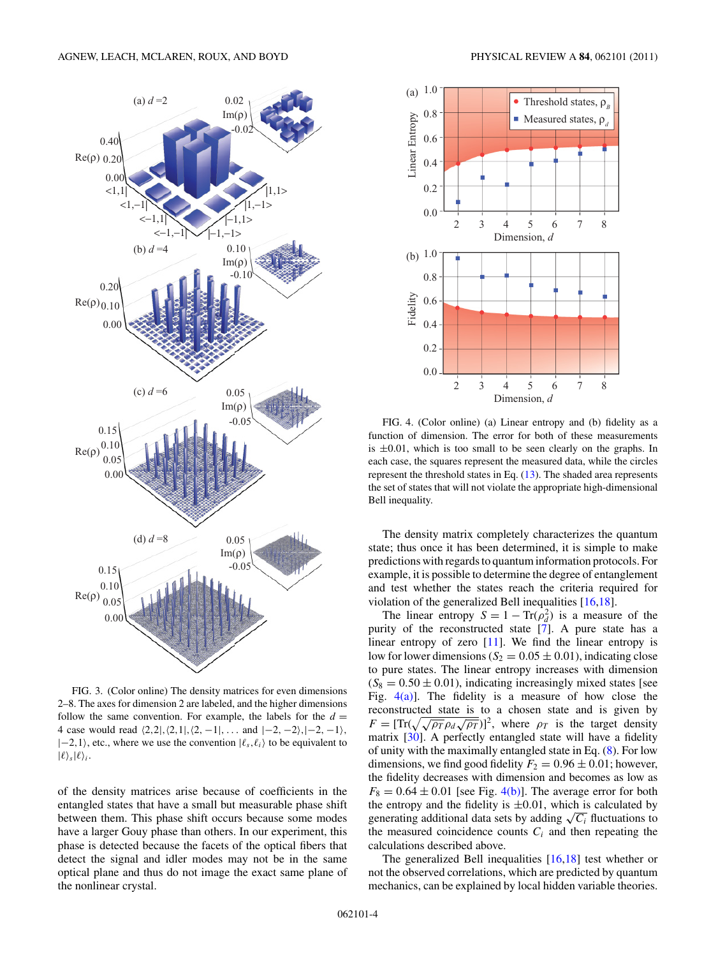<span id="page-3-0"></span>

FIG. 3. (Color online) The density matrices for even dimensions 2–8. The axes for dimension 2 are labeled, and the higher dimensions follow the same convention. For example, the labels for the  $d =$ 4 case would read 2*,*2|*,*2*,*1|*,*2*,* −1|*,...* and |−2*,* −2-*,*|−2*,* −1-*,*  $|(-2,1)\rangle$ , etc., where we use the convention  $|\ell_s, \ell_i\rangle$  to be equivalent to  $|\ell\rangle_{s}|\ell\rangle_{i}.$ 

of the density matrices arise because of coefficients in the entangled states that have a small but measurable phase shift between them. This phase shift occurs because some modes have a larger Gouy phase than others. In our experiment, this phase is detected because the facets of the optical fibers that detect the signal and idler modes may not be in the same optical plane and thus do not image the exact same plane of the nonlinear crystal.



FIG. 4. (Color online) (a) Linear entropy and (b) fidelity as a function of dimension. The error for both of these measurements is  $\pm 0.01$ , which is too small to be seen clearly on the graphs. In each case, the squares represent the measured data, while the circles represent the threshold states in Eq.  $(13)$ . The shaded area represents the set of states that will not violate the appropriate high-dimensional Bell inequality.

The density matrix completely characterizes the quantum state; thus once it has been determined, it is simple to make predictions with regards to quantum information protocols. For example, it is possible to determine the degree of entanglement and test whether the states reach the criteria required for violation of the generalized Bell inequalities [\[16,18\]](#page-4-0).

The linear entropy  $S = 1 - Tr(\rho_d^2)$  is a measure of the purity of the reconstructed state [\[7\]](#page-4-0). A pure state has a linear entropy of zero [\[11\]](#page-4-0). We find the linear entropy is low for lower dimensions ( $S_2 = 0.05 \pm 0.01$ ), indicating close to pure states. The linear entropy increases with dimension  $(S_8 = 0.50 \pm 0.01)$ , indicating increasingly mixed states [see Fig.  $4(a)$ ]. The fidelity is a measure of how close the reconstructed state is to a chosen state and is given by  $F = [\text{Tr}(\sqrt{\sqrt{\rho_T} \rho_d \sqrt{\rho_T}})]^2$ , where  $\rho_T$  is the target density matrix [\[30\]](#page-5-0). A perfectly entangled state will have a fidelity of unity with the maximally entangled state in Eq. [\(8\)](#page-1-0). For low dimensions, we find good fidelity  $F_2 = 0.96 \pm 0.01$ ; however, the fidelity decreases with dimension and becomes as low as  $F_8 = 0.64 \pm 0.01$  [see Fig. 4(b)]. The average error for both the entropy and the fidelity is  $\pm 0.01$ , which is calculated by generating additional data sets by adding  $\sqrt{C_i}$  fluctuations to the measured coincidence counts  $C_i$  and then repeating the calculations described above.

The generalized Bell inequalities [\[16,18\]](#page-4-0) test whether or not the observed correlations, which are predicted by quantum mechanics, can be explained by local hidden variable theories.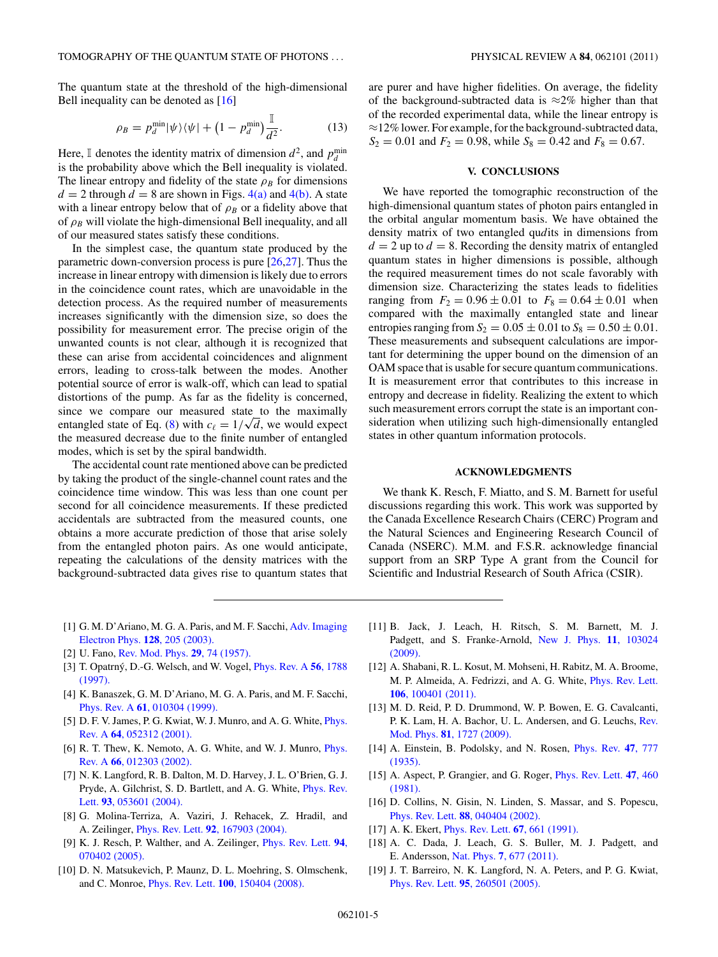<span id="page-4-0"></span>The quantum state at the threshold of the high-dimensional Bell inequality can be denoted as [16]

$$
\rho_B = p_d^{\min} |\psi\rangle\langle\psi| + \left(1 - p_d^{\min}\right) \frac{\mathbb{I}}{d^2}.
$$
 (13)

Here, I denotes the identity matrix of dimension  $d^2$ , and  $p_d^{\text{min}}$ is the probability above which the Bell inequality is violated. The linear entropy and fidelity of the state  $\rho_B$  for dimensions  $d = 2$  through  $d = 8$  are shown in Figs. [4\(a\)](#page-3-0) and [4\(b\).](#page-3-0) A state with a linear entropy below that of  $\rho_B$  or a fidelity above that of  $\rho_B$  will violate the high-dimensional Bell inequality, and all of our measured states satisfy these conditions.

In the simplest case, the quantum state produced by the parametric down-conversion process is pure [\[26,27\]](#page-5-0). Thus the increase in linear entropy with dimension is likely due to errors in the coincidence count rates, which are unavoidable in the detection process. As the required number of measurements increases significantly with the dimension size, so does the possibility for measurement error. The precise origin of the unwanted counts is not clear, although it is recognized that these can arise from accidental coincidences and alignment errors, leading to cross-talk between the modes. Another potential source of error is walk-off, which can lead to spatial distortions of the pump. As far as the fidelity is concerned, since we compare our measured state to the maximally entangled state of Eq. [\(8\)](#page-1-0) with  $c_{\ell} = 1/\sqrt{d}$ , we would expect the measured decrease due to the finite number of entangled modes, which is set by the spiral bandwidth.

The accidental count rate mentioned above can be predicted by taking the product of the single-channel count rates and the coincidence time window. This was less than one count per second for all coincidence measurements. If these predicted accidentals are subtracted from the measured counts, one obtains a more accurate prediction of those that arise solely from the entangled photon pairs. As one would anticipate, repeating the calculations of the density matrices with the background-subtracted data gives rise to quantum states that

are purer and have higher fidelities. On average, the fidelity of the background-subtracted data is  $\approx 2\%$  higher than that of the recorded experimental data, while the linear entropy is ≈12% lower. For example, for the background-subtracted data,  $S_2 = 0.01$  and  $F_2 = 0.98$ , while  $S_8 = 0.42$  and  $F_8 = 0.67$ .

# **V. CONCLUSIONS**

We have reported the tomographic reconstruction of the high-dimensional quantum states of photon pairs entangled in the orbital angular momentum basis. We have obtained the density matrix of two entangled qu*d*its in dimensions from  $d = 2$  up to  $d = 8$ . Recording the density matrix of entangled quantum states in higher dimensions is possible, although the required measurement times do not scale favorably with dimension size. Characterizing the states leads to fidelities ranging from  $F_2 = 0.96 \pm 0.01$  to  $F_8 = 0.64 \pm 0.01$  when compared with the maximally entangled state and linear entropies ranging from  $S_2 = 0.05 \pm 0.01$  to  $S_8 = 0.50 \pm 0.01$ . These measurements and subsequent calculations are important for determining the upper bound on the dimension of an OAM space that is usable for secure quantum communications. It is measurement error that contributes to this increase in entropy and decrease in fidelity. Realizing the extent to which such measurement errors corrupt the state is an important consideration when utilizing such high-dimensionally entangled states in other quantum information protocols.

#### **ACKNOWLEDGMENTS**

We thank K. Resch, F. Miatto, and S. M. Barnett for useful discussions regarding this work. This work was supported by the Canada Excellence Research Chairs (CERC) Program and the Natural Sciences and Engineering Research Council of Canada (NSERC). M.M. and F.S.R. acknowledge financial support from an SRP Type A grant from the Council for Scientific and Industrial Research of South Africa (CSIR).

- [1] G. M. D'Ariano, M. G. A. Paris, and M. F. Sacchi, [Adv. Imaging](http://dx.doi.org/10.1016/S1076-5670(03)80065-4) [Electron Phys.](http://dx.doi.org/10.1016/S1076-5670(03)80065-4) **128**, 205 (2003).
- [2] U. Fano, [Rev. Mod. Phys.](http://dx.doi.org/10.1103/RevModPhys.29.74) **29**, 74 (1957).
- [3] T. Opatrný, D.-G. Welsch, and W. Vogel, *[Phys. Rev. A](http://dx.doi.org/10.1103/PhysRevA.56.1788)* 56, 1788 [\(1997\).](http://dx.doi.org/10.1103/PhysRevA.56.1788)
- [4] K. Banaszek, G. M. D'Ariano, M. G. A. Paris, and M. F. Sacchi, Phys. Rev. A **61**[, 010304 \(1999\).](http://dx.doi.org/10.1103/PhysRevA.61.010304)
- [5] D. F. V. James, P. G. Kwiat, W. J. Munro, and A. G. White, *[Phys.](http://dx.doi.org/10.1103/PhysRevA.64.052312)* Rev. A **64**[, 052312 \(2001\).](http://dx.doi.org/10.1103/PhysRevA.64.052312)
- [6] R. T. Thew, K. Nemoto, A. G. White, and W. J. Munro, *[Phys.](http://dx.doi.org/10.1103/PhysRevA.66.012303)* Rev. A **66**[, 012303 \(2002\).](http://dx.doi.org/10.1103/PhysRevA.66.012303)
- [7] N. K. Langford, R. B. Dalton, M. D. Harvey, J. L. O'Brien, G. J. Pryde, A. Gilchrist, S. D. Bartlett, and A. G. White, [Phys. Rev.](http://dx.doi.org/10.1103/PhysRevLett.93.053601) Lett. **93**[, 053601 \(2004\).](http://dx.doi.org/10.1103/PhysRevLett.93.053601)
- [8] G. Molina-Terriza, A. Vaziri, J. Rehacek, Z. Hradil, and A. Zeilinger, Phys. Rev. Lett. **92**[, 167903 \(2004\).](http://dx.doi.org/10.1103/PhysRevLett.92.167903)
- [9] K. J. Resch, P. Walther, and A. Zeilinger, [Phys. Rev. Lett.](http://dx.doi.org/10.1103/PhysRevLett.94.070402) **94**, [070402 \(2005\).](http://dx.doi.org/10.1103/PhysRevLett.94.070402)
- [10] D. N. Matsukevich, P. Maunz, D. L. Moehring, S. Olmschenk, and C. Monroe, Phys. Rev. Lett. **100**[, 150404 \(2008\).](http://dx.doi.org/10.1103/PhysRevLett.100.150404)
- [11] B. Jack, J. Leach, H. Ritsch, S. M. Barnett, M. J. Padgett, and S. Franke-Arnold, [New J. Phys.](http://dx.doi.org/10.1088/1367-2630/11/10/103024) **11**, 103024 [\(2009\).](http://dx.doi.org/10.1088/1367-2630/11/10/103024)
- [12] A. Shabani, R. L. Kosut, M. Mohseni, H. Rabitz, M. A. Broome, M. P. Almeida, A. Fedrizzi, and A. G. White, [Phys. Rev. Lett.](http://dx.doi.org/10.1103/PhysRevLett.106.100401) **106**[, 100401 \(2011\).](http://dx.doi.org/10.1103/PhysRevLett.106.100401)
- [13] M. D. Reid, P. D. Drummond, W. P. Bowen, E. G. Cavalcanti, P. K. Lam, H. A. Bachor, U. L. Andersen, and G. Leuchs, [Rev.](http://dx.doi.org/10.1103/RevModPhys.81.1727) Mod. Phys. **81**[, 1727 \(2009\).](http://dx.doi.org/10.1103/RevModPhys.81.1727)
- [14] A. Einstein, B. Podolsky, and N. Rosen, [Phys. Rev.](http://dx.doi.org/10.1103/PhysRev.47.777) **47**, 777 [\(1935\).](http://dx.doi.org/10.1103/PhysRev.47.777)
- [15] A. Aspect, P. Grangier, and G. Roger, [Phys. Rev. Lett.](http://dx.doi.org/10.1103/PhysRevLett.47.460) **47**, 460 [\(1981\).](http://dx.doi.org/10.1103/PhysRevLett.47.460)
- [16] D. Collins, N. Gisin, N. Linden, S. Massar, and S. Popescu, Phys. Rev. Lett. **88**[, 040404 \(2002\).](http://dx.doi.org/10.1103/PhysRevLett.88.040404)
- [17] A. K. Ekert, [Phys. Rev. Lett.](http://dx.doi.org/10.1103/PhysRevLett.67.661) **67**, 661 (1991).
- [18] A. C. Dada, J. Leach, G. S. Buller, M. J. Padgett, and E. Andersson, Nat. Phys. **7**[, 677 \(2011\).](http://dx.doi.org/10.1038/nphys1996)
- [19] J. T. Barreiro, N. K. Langford, N. A. Peters, and P. G. Kwiat, Phys. Rev. Lett. **95**[, 260501 \(2005\).](http://dx.doi.org/10.1103/PhysRevLett.95.260501)